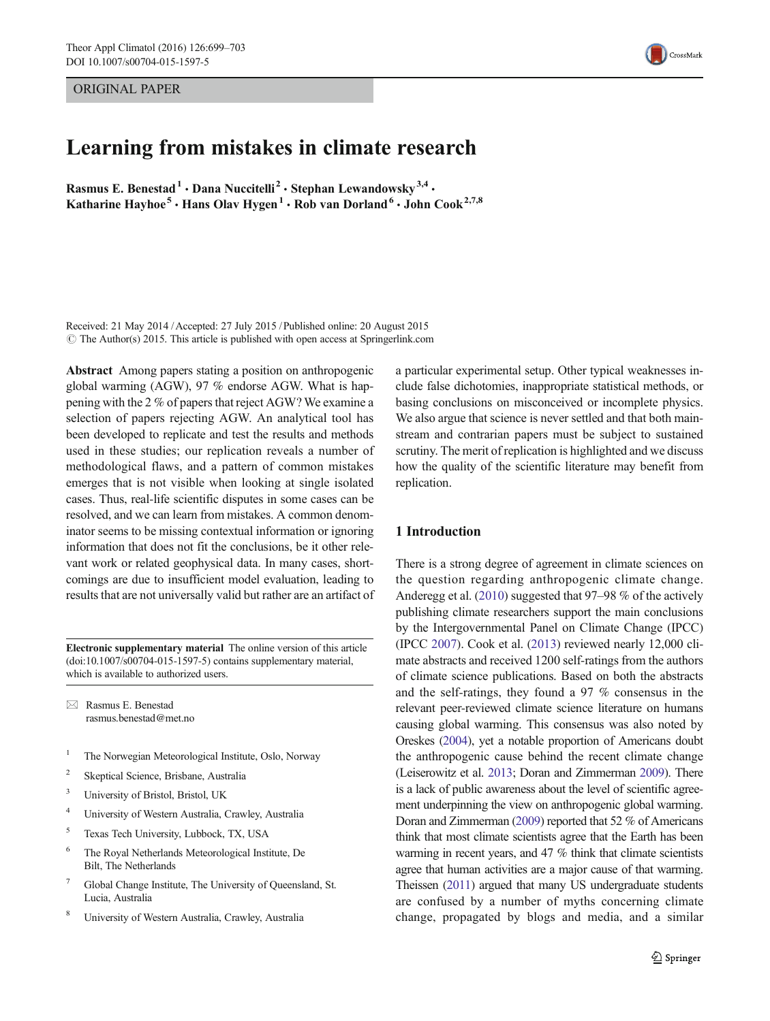ORIGINAL PAPER

# Learning from mistakes in climate research

Rasmus E. Benestad<sup>1</sup> · Dana Nuccitelli<sup>2</sup> · Stephan Lewandowsky<sup>3,4</sup> · Katharine Hayhoe<sup>5</sup> · Hans Olav Hygen<sup>1</sup> · Rob van Dorland<sup>6</sup> · John Cook<sup>2,7,8</sup>

Received: 21 May 2014 /Accepted: 27 July 2015 / Published online: 20 August 2015  $\odot$  The Author(s) 2015. This article is published with open access at Springerlink.com

Abstract Among papers stating a position on anthropogenic global warming (AGW), 97 % endorse AGW. What is happening with the 2 % of papers that reject AGW? We examine a selection of papers rejecting AGW. An analytical tool has been developed to replicate and test the results and methods used in these studies; our replication reveals a number of methodological flaws, and a pattern of common mistakes emerges that is not visible when looking at single isolated cases. Thus, real-life scientific disputes in some cases can be resolved, and we can learn from mistakes. A common denominator seems to be missing contextual information or ignoring information that does not fit the conclusions, be it other relevant work or related geophysical data. In many cases, shortcomings are due to insufficient model evaluation, leading to results that are not universally valid but rather are an artifact of

Electronic supplementary material The online version of this article (doi[:10.1007/s00704-015-1597-5](http://dx.doi.org/10.1007/s00704-015-1597-5)) contains supplementary material, which is available to authorized users.

 $\boxtimes$  Rasmus E. Benestad rasmus.benestad@met.no

- <sup>1</sup> The Norwegian Meteorological Institute, Oslo, Norway
- <sup>2</sup> Skeptical Science, Brisbane, Australia
- <sup>3</sup> University of Bristol, Bristol, UK
- <sup>4</sup> University of Western Australia, Crawley, Australia
- <sup>5</sup> Texas Tech University, Lubbock, TX, USA
- <sup>6</sup> The Royal Netherlands Meteorological Institute, De Bilt, The Netherlands
- Global Change Institute, The University of Queensland, St. Lucia, Australia
- <sup>8</sup> University of Western Australia, Crawley, Australia

a particular experimental setup. Other typical weaknesses include false dichotomies, inappropriate statistical methods, or basing conclusions on misconceived or incomplete physics. We also argue that science is never settled and that both mainstream and contrarian papers must be subject to sustained scrutiny. The merit of replication is highlighted and we discuss how the quality of the scientific literature may benefit from replication.

#### 1 Introduction

There is a strong degree of agreement in climate sciences on the question regarding anthropogenic climate change. Anderegg et al. [\(2010\)](#page-3-0) suggested that 97–98 % of the actively publishing climate researchers support the main conclusions by the Intergovernmental Panel on Climate Change (IPCC) (IPCC [2007](#page-4-0)). Cook et al. [\(2013\)](#page-4-0) reviewed nearly 12,000 climate abstracts and received 1200 self-ratings from the authors of climate science publications. Based on both the abstracts and the self-ratings, they found a 97 % consensus in the relevant peer-reviewed climate science literature on humans causing global warming. This consensus was also noted by Oreskes [\(2004\)](#page-4-0), yet a notable proportion of Americans doubt the anthropogenic cause behind the recent climate change (Leiserowitz et al. [2013;](#page-4-0) Doran and Zimmerman [2009\)](#page-4-0). There is a lack of public awareness about the level of scientific agreement underpinning the view on anthropogenic global warming. Doran and Zimmerman [\(2009](#page-4-0)) reported that 52 % of Americans think that most climate scientists agree that the Earth has been warming in recent years, and 47 % think that climate scientists agree that human activities are a major cause of that warming. Theissen ([2011](#page-4-0)) argued that many US undergraduate students are confused by a number of myths concerning climate change, propagated by blogs and media, and a similar

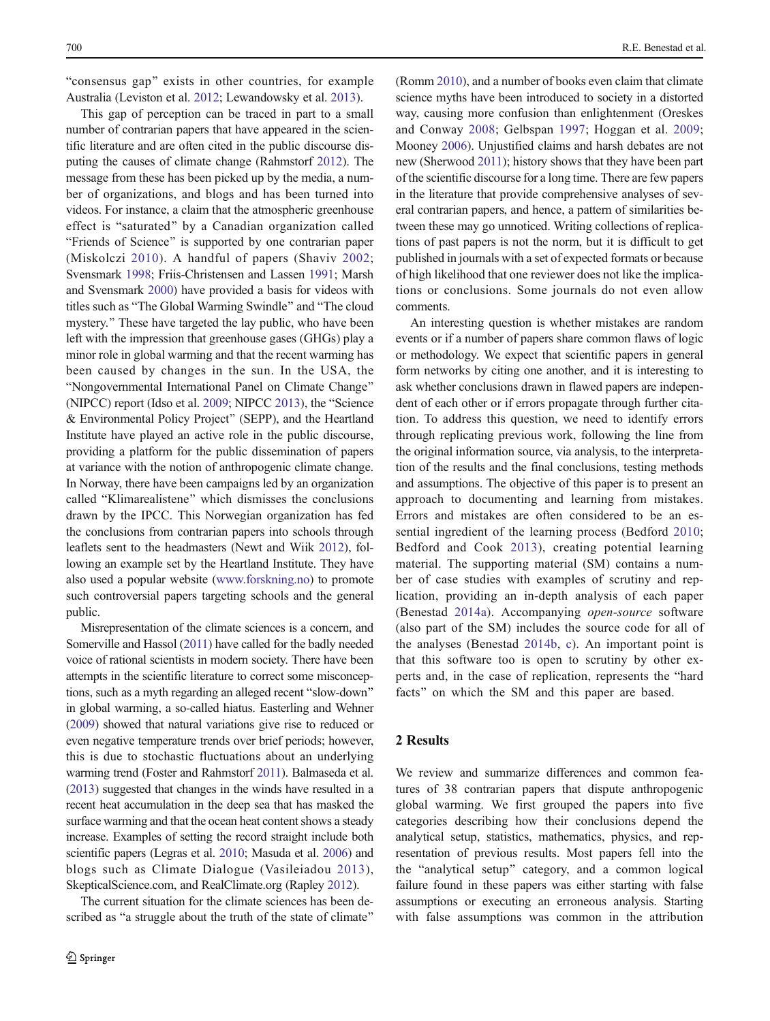"consensus gap" exists in other countries, for example Australia (Leviston et al. [2012;](#page-4-0) Lewandowsky et al. [2013\)](#page-4-0).

This gap of perception can be traced in part to a small number of contrarian papers that have appeared in the scientific literature and are often cited in the public discourse disputing the causes of climate change (Rahmstorf [2012\)](#page-4-0). The message from these has been picked up by the media, a number of organizations, and blogs and has been turned into videos. For instance, a claim that the atmospheric greenhouse effect is "saturated" by a Canadian organization called "Friends of Science" is supported by one contrarian paper (Miskolczi [2010](#page-4-0)). A handful of papers (Shaviv [2002](#page-4-0); Svensmark [1998;](#page-4-0) Friis-Christensen and Lassen [1991;](#page-4-0) Marsh and Svensmark [2000](#page-4-0)) have provided a basis for videos with titles such as "The Global Warming Swindle" and "The cloud mystery." These have targeted the lay public, who have been left with the impression that greenhouse gases (GHGs) play a minor role in global warming and that the recent warming has been caused by changes in the sun. In the USA, the "Nongovernmental International Panel on Climate Change" (NIPCC) report (Idso et al.  $2009$ ; NIPCC  $2013$ ), the "Science & Environmental Policy Project^ (SEPP), and the Heartland Institute have played an active role in the public discourse, providing a platform for the public dissemination of papers at variance with the notion of anthropogenic climate change. In Norway, there have been campaigns led by an organization called "Klimarealistene" which dismisses the conclusions drawn by the IPCC. This Norwegian organization has fed the conclusions from contrarian papers into schools through leaflets sent to the headmasters (Newt and Wiik [2012](#page-4-0)), following an example set by the Heartland Institute. They have also used a popular website [\(www.forskning.no\)](http://www.forskning.no/) to promote such controversial papers targeting schools and the general public.

Misrepresentation of the climate sciences is a concern, and Somerville and Hassol [\(2011](#page-4-0)) have called for the badly needed voice of rational scientists in modern society. There have been attempts in the scientific literature to correct some misconceptions, such as a myth regarding an alleged recent "slow-down" in global warming, a so-called hiatus. Easterling and Wehner [\(2009](#page-4-0)) showed that natural variations give rise to reduced or even negative temperature trends over brief periods; however, this is due to stochastic fluctuations about an underlying warming trend (Foster and Rahmstorf [2011\)](#page-4-0). Balmaseda et al. [\(2013](#page-3-0)) suggested that changes in the winds have resulted in a recent heat accumulation in the deep sea that has masked the surface warming and that the ocean heat content shows a steady increase. Examples of setting the record straight include both scientific papers (Legras et al. [2010;](#page-4-0) Masuda et al. [2006](#page-4-0)) and blogs such as Climate Dialogue (Vasileiadou [2013\)](#page-4-0), SkepticalScience.com, and RealClimate.org (Rapley [2012\)](#page-4-0).

The current situation for the climate sciences has been described as "a struggle about the truth of the state of climate" (Romm [2010\)](#page-4-0), and a number of books even claim that climate science myths have been introduced to society in a distorted way, causing more confusion than enlightenment (Oreskes and Conway [2008](#page-4-0); Gelbspan [1997;](#page-4-0) Hoggan et al. [2009;](#page-4-0) Mooney [2006](#page-4-0)). Unjustified claims and harsh debates are not new (Sherwood [2011\)](#page-4-0); history shows that they have been part of the scientific discourse for a long time. There are few papers in the literature that provide comprehensive analyses of several contrarian papers, and hence, a pattern of similarities between these may go unnoticed. Writing collections of replications of past papers is not the norm, but it is difficult to get published in journals with a set of expected formats or because of high likelihood that one reviewer does not like the implications or conclusions. Some journals do not even allow comments.

An interesting question is whether mistakes are random events or if a number of papers share common flaws of logic or methodology. We expect that scientific papers in general form networks by citing one another, and it is interesting to ask whether conclusions drawn in flawed papers are independent of each other or if errors propagate through further citation. To address this question, we need to identify errors through replicating previous work, following the line from the original information source, via analysis, to the interpretation of the results and the final conclusions, testing methods and assumptions. The objective of this paper is to present an approach to documenting and learning from mistakes. Errors and mistakes are often considered to be an essential ingredient of the learning process (Bedford [2010;](#page-3-0) Bedford and Cook [2013](#page-4-0)), creating potential learning material. The supporting material (SM) contains a number of case studies with examples of scrutiny and replication, providing an in-depth analysis of each paper (Benestad [2014a\)](#page-4-0). Accompanying open-source software (also part of the SM) includes the source code for all of the analyses (Benestad [2014b](#page-4-0), [c](#page-4-0)). An important point is that this software too is open to scrutiny by other experts and, in the case of replication, represents the "hard facts" on which the SM and this paper are based.

### 2 Results

We review and summarize differences and common features of 38 contrarian papers that dispute anthropogenic global warming. We first grouped the papers into five categories describing how their conclusions depend the analytical setup, statistics, mathematics, physics, and representation of previous results. Most papers fell into the the "analytical setup" category, and a common logical failure found in these papers was either starting with false assumptions or executing an erroneous analysis. Starting with false assumptions was common in the attribution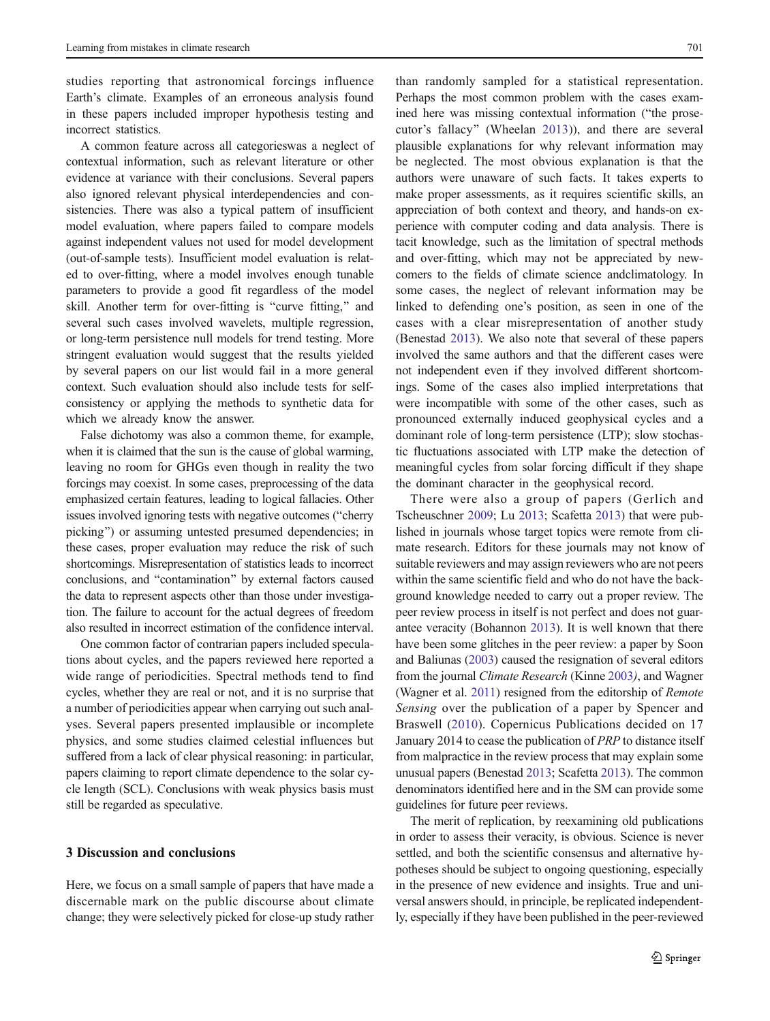studies reporting that astronomical forcings influence Earth's climate. Examples of an erroneous analysis found in these papers included improper hypothesis testing and incorrect statistics.

A common feature across all categorieswas a neglect of contextual information, such as relevant literature or other evidence at variance with their conclusions. Several papers also ignored relevant physical interdependencies and consistencies. There was also a typical pattern of insufficient model evaluation, where papers failed to compare models against independent values not used for model development (out-of-sample tests). Insufficient model evaluation is related to over-fitting, where a model involves enough tunable parameters to provide a good fit regardless of the model skill. Another term for over-fitting is "curve fitting," and several such cases involved wavelets, multiple regression, or long-term persistence null models for trend testing. More stringent evaluation would suggest that the results yielded by several papers on our list would fail in a more general context. Such evaluation should also include tests for selfconsistency or applying the methods to synthetic data for which we already know the answer.

False dichotomy was also a common theme, for example, when it is claimed that the sun is the cause of global warming, leaving no room for GHGs even though in reality the two forcings may coexist. In some cases, preprocessing of the data emphasized certain features, leading to logical fallacies. Other issues involved ignoring tests with negative outcomes ("cherry" picking") or assuming untested presumed dependencies; in these cases, proper evaluation may reduce the risk of such shortcomings. Misrepresentation of statistics leads to incorrect conclusions, and "contamination" by external factors caused the data to represent aspects other than those under investigation. The failure to account for the actual degrees of freedom also resulted in incorrect estimation of the confidence interval.

One common factor of contrarian papers included speculations about cycles, and the papers reviewed here reported a wide range of periodicities. Spectral methods tend to find cycles, whether they are real or not, and it is no surprise that a number of periodicities appear when carrying out such analyses. Several papers presented implausible or incomplete physics, and some studies claimed celestial influences but suffered from a lack of clear physical reasoning: in particular, papers claiming to report climate dependence to the solar cycle length (SCL). Conclusions with weak physics basis must still be regarded as speculative.

## 3 Discussion and conclusions

Here, we focus on a small sample of papers that have made a discernable mark on the public discourse about climate change; they were selectively picked for close-up study rather

than randomly sampled for a statistical representation. Perhaps the most common problem with the cases examined here was missing contextual information ("the prosecutor's fallacy^ (Wheelan [2013\)](#page-4-0)), and there are several plausible explanations for why relevant information may be neglected. The most obvious explanation is that the authors were unaware of such facts. It takes experts to make proper assessments, as it requires scientific skills, an appreciation of both context and theory, and hands-on experience with computer coding and data analysis. There is tacit knowledge, such as the limitation of spectral methods and over-fitting, which may not be appreciated by newcomers to the fields of climate science andclimatology. In some cases, the neglect of relevant information may be linked to defending one's position, as seen in one of the cases with a clear misrepresentation of another study (Benestad [2013](#page-4-0)). We also note that several of these papers involved the same authors and that the different cases were not independent even if they involved different shortcomings. Some of the cases also implied interpretations that were incompatible with some of the other cases, such as pronounced externally induced geophysical cycles and a dominant role of long-term persistence (LTP); slow stochastic fluctuations associated with LTP make the detection of meaningful cycles from solar forcing difficult if they shape the dominant character in the geophysical record.

There were also a group of papers (Gerlich and Tscheuschner [2009](#page-4-0); Lu [2013;](#page-4-0) Scafetta [2013](#page-4-0)) that were published in journals whose target topics were remote from climate research. Editors for these journals may not know of suitable reviewers and may assign reviewers who are not peers within the same scientific field and who do not have the background knowledge needed to carry out a proper review. The peer review process in itself is not perfect and does not guarantee veracity (Bohannon [2013](#page-4-0)). It is well known that there have been some glitches in the peer review: a paper by Soon and Baliunas ([2003](#page-4-0)) caused the resignation of several editors from the journal Climate Research (Kinne [2003](#page-4-0)), and Wagner (Wagner et al. [2011\)](#page-4-0) resigned from the editorship of Remote Sensing over the publication of a paper by Spencer and Braswell [\(2010\)](#page-4-0). Copernicus Publications decided on 17 January 2014 to cease the publication of PRP to distance itself from malpractice in the review process that may explain some unusual papers (Benestad [2013;](#page-4-0) Scafetta [2013\)](#page-4-0). The common denominators identified here and in the SM can provide some guidelines for future peer reviews.

The merit of replication, by reexamining old publications in order to assess their veracity, is obvious. Science is never settled, and both the scientific consensus and alternative hypotheses should be subject to ongoing questioning, especially in the presence of new evidence and insights. True and universal answers should, in principle, be replicated independently, especially if they have been published in the peer-reviewed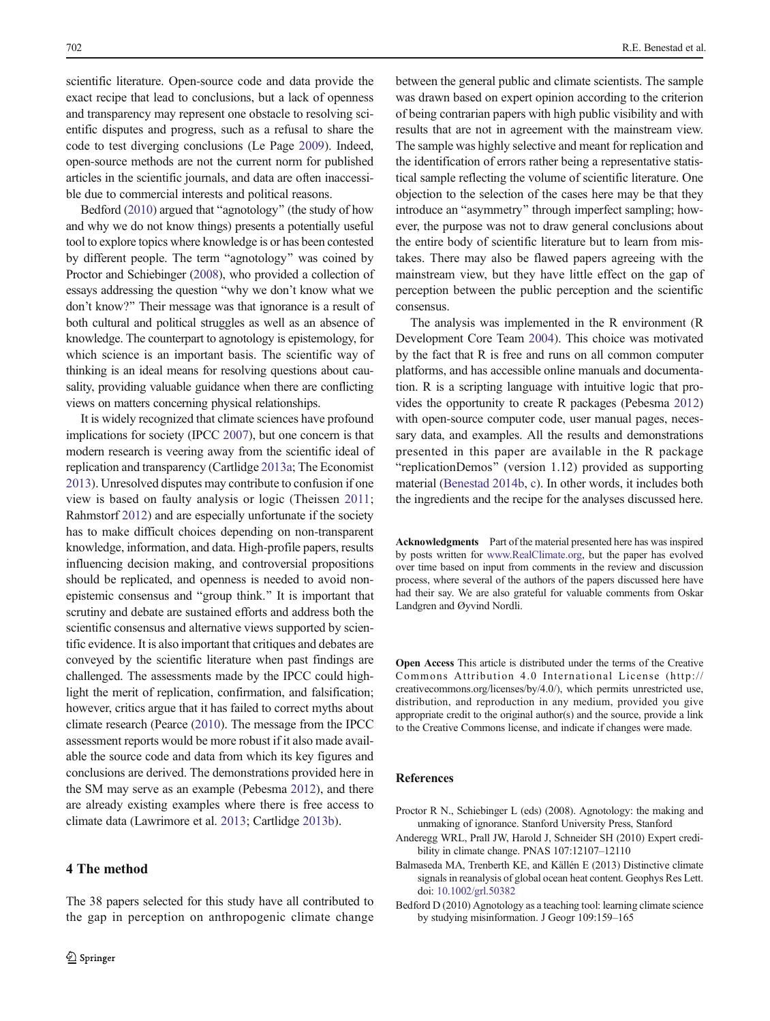<span id="page-3-0"></span>scientific literature. Open-source code and data provide the exact recipe that lead to conclusions, but a lack of openness and transparency may represent one obstacle to resolving scientific disputes and progress, such as a refusal to share the code to test diverging conclusions (Le Page [2009\)](#page-4-0). Indeed, open-source methods are not the current norm for published articles in the scientific journals, and data are often inaccessible due to commercial interests and political reasons.

Bedford  $(2010)$  argued that "agnotology" (the study of how and why we do not know things) presents a potentially useful tool to explore topics where knowledge is or has been contested by different people. The term "agnotology" was coined by Proctor and Schiebinger (2008), who provided a collection of essays addressing the question "why we don't know what we don't know?^ Their message was that ignorance is a result of both cultural and political struggles as well as an absence of knowledge. The counterpart to agnotology is epistemology, for which science is an important basis. The scientific way of thinking is an ideal means for resolving questions about causality, providing valuable guidance when there are conflicting views on matters concerning physical relationships.

It is widely recognized that climate sciences have profound implications for society (IPCC [2007](#page-4-0)), but one concern is that modern research is veering away from the scientific ideal of replication and transparency (Cartlidge [2013a](#page-4-0); The Economist [2013\)](#page-4-0). Unresolved disputes may contribute to confusion if one view is based on faulty analysis or logic (Theissen [2011](#page-4-0); Rahmstorf [2012](#page-4-0)) and are especially unfortunate if the society has to make difficult choices depending on non-transparent knowledge, information, and data. High-profile papers, results influencing decision making, and controversial propositions should be replicated, and openness is needed to avoid nonepistemic consensus and "group think." It is important that scrutiny and debate are sustained efforts and address both the scientific consensus and alternative views supported by scientific evidence. It is also important that critiques and debates are conveyed by the scientific literature when past findings are challenged. The assessments made by the IPCC could highlight the merit of replication, confirmation, and falsification; however, critics argue that it has failed to correct myths about climate research (Pearce ([2010](#page-4-0)). The message from the IPCC assessment reports would be more robust if it also made available the source code and data from which its key figures and conclusions are derived. The demonstrations provided here in the SM may serve as an example (Pebesma [2012](#page-4-0)), and there are already existing examples where there is free access to climate data (Lawrimore et al. [2013](#page-4-0); Cartlidge [2013b\)](#page-4-0).

# 4 The method

The 38 papers selected for this study have all contributed to the gap in perception on anthropogenic climate change between the general public and climate scientists. The sample was drawn based on expert opinion according to the criterion of being contrarian papers with high public visibility and with results that are not in agreement with the mainstream view. The sample was highly selective and meant for replication and the identification of errors rather being a representative statistical sample reflecting the volume of scientific literature. One objection to the selection of the cases here may be that they introduce an "asymmetry" through imperfect sampling; however, the purpose was not to draw general conclusions about the entire body of scientific literature but to learn from mistakes. There may also be flawed papers agreeing with the mainstream view, but they have little effect on the gap of perception between the public perception and the scientific consensus.

The analysis was implemented in the R environment (R Development Core Team [2004\)](#page-4-0). This choice was motivated by the fact that R is free and runs on all common computer platforms, and has accessible online manuals and documentation. R is a scripting language with intuitive logic that provides the opportunity to create R packages (Pebesma [2012](#page-4-0)) with open-source computer code, user manual pages, necessary data, and examples. All the results and demonstrations presented in this paper are available in the R package "replicationDemos" (version 1.12) provided as supporting material [\(Benestad 2014b,](#page-4-0) [c\)](#page-4-0). In other words, it includes both the ingredients and the recipe for the analyses discussed here.

Acknowledgments Part of the material presented here has was inspired by posts written for [www.RealClimate.org](http://www.realclimate.org/), but the paper has evolved over time based on input from comments in the review and discussion process, where several of the authors of the papers discussed here have had their say. We are also grateful for valuable comments from Oskar Landgren and Øyvind Nordli.

Open Access This article is distributed under the terms of the Creative Commons Attribution 4.0 International License (http:// creativecommons.org/licenses/by/4.0/), which permits unrestricted use, distribution, and reproduction in any medium, provided you give appropriate credit to the original author(s) and the source, provide a link to the Creative Commons license, and indicate if changes were made.

#### References

- Proctor R N., Schiebinger L (eds) (2008). Agnotology: the making and unmaking of ignorance. Stanford University Press, Stanford
- Anderegg WRL, Prall JW, Harold J, Schneider SH (2010) Expert credibility in climate change. PNAS 107:12107–12110
- Balmaseda MA, Trenberth KE, and Källén E (2013) Distinctive climate signals in reanalysis of global ocean heat content. Geophys Res Lett. doi: [10.1002/grl.50382](http://dx.doi.org/10.1002/grl.50382)
- Bedford D (2010) Agnotology as a teaching tool: learning climate science by studying misinformation. J Geogr 109:159–165